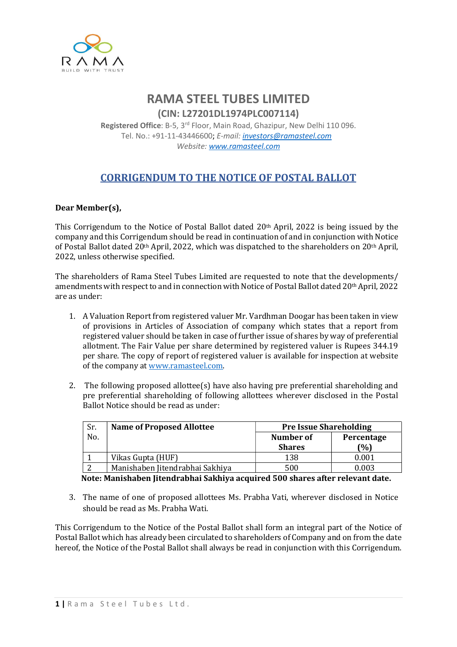

## RAMA STEEL TUBES LIMITED

(CIN: L27201DL1974PLC007114) Registered Office: B-5, 3<sup>rd</sup> Floor, Main Road, Ghazipur, New Delhi 110 096. Tel. No.: +91-11-43446600; E-mail: investors@ramasteel.com Website: www.ramasteel.com

## CORRIGENDUM TO THE NOTICE OF POSTAL BALLOT

## Dear Member(s),

This Corrigendum to the Notice of Postal Ballot dated 20th April, 2022 is being issued by the company and this Corrigendum should be read in continuation of and in conjunction with Notice of Postal Ballot dated 20th April, 2022, which was dispatched to the shareholders on 20th April, 2022, unless otherwise specified.

The shareholders of Rama Steel Tubes Limited are requested to note that the developments/ amendments with respect to and in connection with Notice of Postal Ballot dated 20th April, 2022 are as under:

- 1. A Valuation Report from registered valuer Mr. Vardhman Doogar has been taken in view of provisions in Articles of Association of company which states that a report from registered valuer should be taken in case of further issue of shares by way of preferential allotment. The Fair Value per share determined by registered valuer is Rupees 344.19 per share. The copy of report of registered valuer is available for inspection at website of the company at www.ramasteel.com.
- 2. The following proposed allottee(s) have also having pre preferential shareholding and pre preferential shareholding of following allottees wherever disclosed in the Postal Ballot Notice should be read as under:

| Sr. | <b>Name of Proposed Allottee</b> | <b>Pre Issue Shareholding</b> |            |
|-----|----------------------------------|-------------------------------|------------|
| No. |                                  | Number of                     | Percentage |
|     |                                  | <b>Shares</b>                 | (%)        |
|     | Vikas Gupta (HUF)                | 138                           | 0.001      |
|     | Manishaben Jitendrabhai Sakhiya  | 500                           | 0.003      |

Note: Manishaben Jitendrabhai Sakhiya acquired 500 shares after relevant date.

3. The name of one of proposed allottees Ms. Prabha Vati, wherever disclosed in Notice should be read as Ms. Prabha Wati.

This Corrigendum to the Notice of the Postal Ballot shall form an integral part of the Notice of Postal Ballot which has already been circulated to shareholders of Company and on from the date hereof, the Notice of the Postal Ballot shall always be read in conjunction with this Corrigendum.